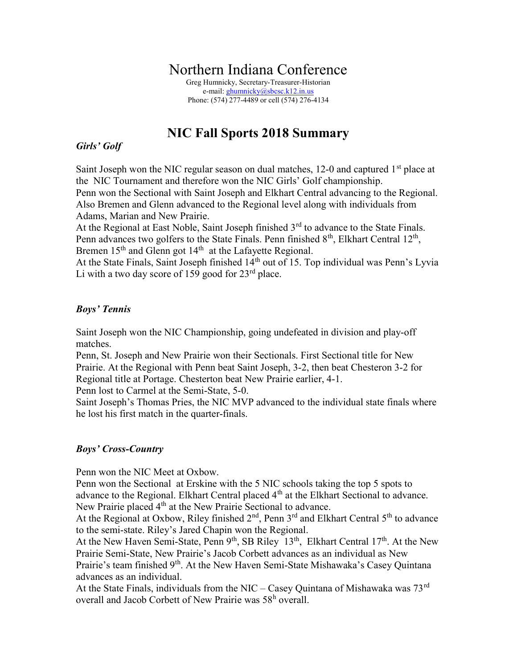# Northern Indiana Conference

Greg Humnicky, Secretary-Treasurer-Historian e-mail: ghumnicky@sbcsc.k12.in.us Phone: (574) 277-4489 or cell (574) 276-4134

## NIC Fall Sports 2018 Summary

## Girls' Golf

Saint Joseph won the NIC regular season on dual matches, 12-0 and captured  $1<sup>st</sup>$  place at the NIC Tournament and therefore won the NIC Girls' Golf championship. Penn won the Sectional with Saint Joseph and Elkhart Central advancing to the Regional. Also Bremen and Glenn advanced to the Regional level along with individuals from Adams, Marian and New Prairie.

At the Regional at East Noble, Saint Joseph finished  $3<sup>rd</sup>$  to advance to the State Finals. Penn advances two golfers to the State Finals. Penn finished  $8<sup>th</sup>$ , Elkhart Central 12<sup>th</sup>, Bremen  $15<sup>th</sup>$  and Glenn got  $14<sup>th</sup>$  at the Lafayette Regional.

At the State Finals, Saint Joseph finished  $14<sup>th</sup>$  out of 15. Top individual was Penn's Lyvia Li with a two day score of 159 good for  $23<sup>rd</sup>$  place.

## Boys' Tennis

Saint Joseph won the NIC Championship, going undefeated in division and play-off matches.

Penn, St. Joseph and New Prairie won their Sectionals. First Sectional title for New Prairie. At the Regional with Penn beat Saint Joseph, 3-2, then beat Chesteron 3-2 for Regional title at Portage. Chesterton beat New Prairie earlier, 4-1.

Penn lost to Carmel at the Semi-State, 5-0.

Saint Joseph's Thomas Pries, the NIC MVP advanced to the individual state finals where he lost his first match in the quarter-finals.

## Boys' Cross-Country

Penn won the NIC Meet at Oxbow.

Penn won the Sectional at Erskine with the 5 NIC schools taking the top 5 spots to advance to the Regional. Elkhart Central placed 4<sup>th</sup> at the Elkhart Sectional to advance. New Prairie placed 4<sup>th</sup> at the New Prairie Sectional to advance.

At the Regional at Oxbow, Riley finished  $2<sup>nd</sup>$ , Penn 3<sup>rd</sup> and Elkhart Central 5<sup>th</sup> to advance to the semi-state. Riley's Jared Chapin won the Regional.

At the New Haven Semi-State, Penn 9<sup>th</sup>, SB Riley 13<sup>th</sup>, Elkhart Central 17<sup>th</sup>. At the New Prairie Semi-State, New Prairie's Jacob Corbett advances as an individual as New Prairie's team finished 9<sup>th</sup>. At the New Haven Semi-State Mishawaka's Casey Quintana advances as an individual.

At the State Finals, individuals from the NIC – Casey Quintana of Mishawaka was  $73<sup>rd</sup>$ overall and Jacob Corbett of New Prairie was 58<sup>h</sup> overall.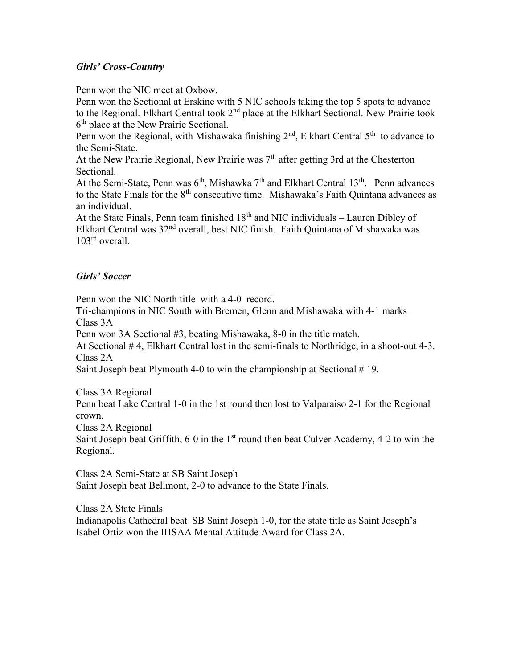## Girls' Cross-Country

Penn won the NIC meet at Oxbow.

Penn won the Sectional at Erskine with 5 NIC schools taking the top 5 spots to advance to the Regional. Elkhart Central took 2<sup>nd</sup> place at the Elkhart Sectional. New Prairie took 6<sup>th</sup> place at the New Prairie Sectional.

Penn won the Regional, with Mishawaka finishing  $2<sup>nd</sup>$ , Elkhart Central  $5<sup>th</sup>$  to advance to the Semi-State.

At the New Prairie Regional, New Prairie was  $7<sup>th</sup>$  after getting 3rd at the Chesterton Sectional.

At the Semi-State, Penn was  $6<sup>th</sup>$ , Mishawka  $7<sup>th</sup>$  and Elkhart Central  $13<sup>th</sup>$ . Penn advances to the State Finals for the  $8<sup>th</sup>$  consecutive time. Mishawaka's Faith Quintana advances as an individual.

At the State Finals, Penn team finished  $18<sup>th</sup>$  and NIC individuals – Lauren Dibley of Elkhart Central was 32<sup>nd</sup> overall, best NIC finish. Faith Quintana of Mishawaka was 103<sup>rd</sup> overall.

#### Girls' Soccer

Penn won the NIC North title with a 4-0 record.

Tri-champions in NIC South with Bremen, Glenn and Mishawaka with 4-1 marks Class 3A

Penn won 3A Sectional #3, beating Mishawaka, 8-0 in the title match.

At Sectional # 4, Elkhart Central lost in the semi-finals to Northridge, in a shoot-out 4-3. Class 2A

Saint Joseph beat Plymouth 4-0 to win the championship at Sectional #19.

Class 3A Regional Penn beat Lake Central 1-0 in the 1st round then lost to Valparaiso 2-1 for the Regional crown.

Class 2A Regional

Saint Joseph beat Griffith, 6-0 in the  $1<sup>st</sup>$  round then beat Culver Academy, 4-2 to win the Regional.

Class 2A Semi-State at SB Saint Joseph Saint Joseph beat Bellmont, 2-0 to advance to the State Finals.

Class 2A State Finals

Indianapolis Cathedral beat SB Saint Joseph 1-0, for the state title as Saint Joseph's Isabel Ortiz won the IHSAA Mental Attitude Award for Class 2A.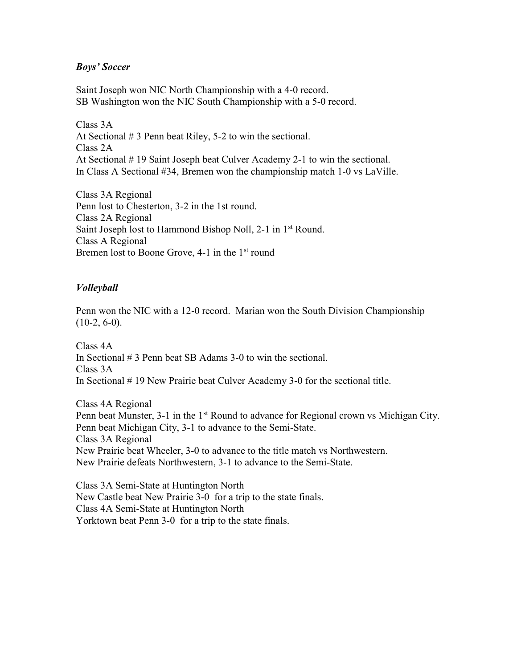### Boys' Soccer

Saint Joseph won NIC North Championship with a 4-0 record. SB Washington won the NIC South Championship with a 5-0 record.

Class 3A At Sectional # 3 Penn beat Riley, 5-2 to win the sectional. Class 2A At Sectional # 19 Saint Joseph beat Culver Academy 2-1 to win the sectional. In Class A Sectional #34, Bremen won the championship match 1-0 vs LaVille.

Class 3A Regional Penn lost to Chesterton, 3-2 in the 1st round. Class 2A Regional Saint Joseph lost to Hammond Bishop Noll, 2-1 in 1<sup>st</sup> Round. Class A Regional Bremen lost to Boone Grove,  $4-1$  in the  $1<sup>st</sup>$  round

## Volleyball

Penn won the NIC with a 12-0 record. Marian won the South Division Championship  $(10-2, 6-0)$ .

Class 4A In Sectional # 3 Penn beat SB Adams 3-0 to win the sectional. Class 3A In Sectional # 19 New Prairie beat Culver Academy 3-0 for the sectional title.

Class 4A Regional Penn beat Munster, 3-1 in the 1<sup>st</sup> Round to advance for Regional crown vs Michigan City. Penn beat Michigan City, 3-1 to advance to the Semi-State. Class 3A Regional New Prairie beat Wheeler, 3-0 to advance to the title match vs Northwestern. New Prairie defeats Northwestern, 3-1 to advance to the Semi-State.

Class 3A Semi-State at Huntington North New Castle beat New Prairie 3-0 for a trip to the state finals. Class 4A Semi-State at Huntington North Yorktown beat Penn 3-0 for a trip to the state finals.